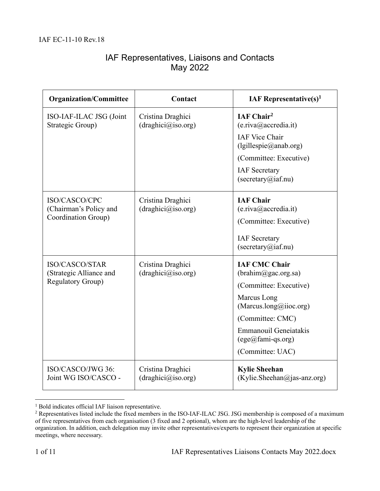## IAF Representatives, Liaisons and Contacts May 2022

| <b>Organization/Committee</b>                                         | Contact                                 | <b>IAF Representative(s)<sup>1</sup></b>                                                                                                                                                                    |
|-----------------------------------------------------------------------|-----------------------------------------|-------------------------------------------------------------------------------------------------------------------------------------------------------------------------------------------------------------|
| ISO-IAF-ILAC JSG (Joint<br>Strategic Group)                           | Cristina Draghici<br>(draghici@iso.org) | IAF Chair <sup>2</sup><br>(exiva@accredia.it)<br><b>IAF Vice Chair</b><br>(lgillespie@anab.org)<br>(Committee: Executive)<br><b>IAF</b> Secretary<br>$(\text{secretary}(a)$ iaf.nu)                         |
| ISO/CASCO/CPC<br>(Chairman's Policy and<br>Coordination Group)        | Cristina Draghici<br>(draghici@iso.org) | <b>IAF Chair</b><br>$(e.\text{riva@accredia.it})$<br>(Committee: Executive)<br><b>IAF</b> Secretary<br>$(\text{secretary}(a)$ iaf.nu)                                                                       |
| ISO/CASCO/STAR<br>(Strategic Alliance and<br><b>Regulatory Group)</b> | Cristina Draghici<br>(draghici@iso.org) | <b>IAF CMC Chair</b><br>(brahim@gac.org.sa)<br>(Committee: Executive)<br>Marcus Long<br>(Marcus.long@iioc.org)<br>(Committee: CMC)<br><b>Emmanouil Geneiatakis</b><br>(ege@fami-qs.org)<br>(Committee: UAC) |
| ISO/CASCO/JWG 36:<br>Joint WG ISO/CASCO -                             | Cristina Draghici<br>(draghici@iso.org) | <b>Kylie Sheehan</b><br>$(Kylie.Sheehan@ias-anz.org)$                                                                                                                                                       |

<sup>&</sup>lt;sup>1</sup> Bold indicates official IAF liaison representative.

<sup>&</sup>lt;sup>2</sup> Representatives listed include the fixed members in the ISO-IAF-ILAC JSG. JSG membership is composed of a maximum of five representatives from each organisation (3 fixed and 2 optional), whom are the high-level leadership of the organization. In addition, each delegation may invite other representatives/experts to represent their organization at specific meetings, where necessary.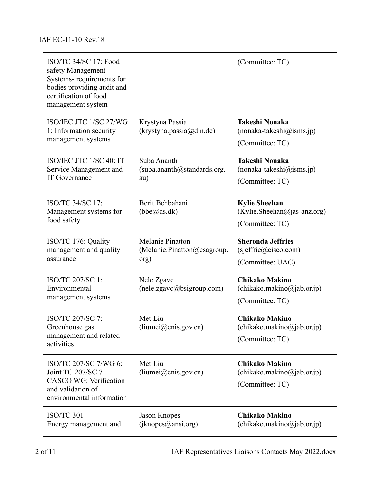| ISO/TC 34/SC 17: Food<br>safety Management<br>Systems-requirements for<br>bodies providing audit and<br>certification of food<br>management system |                                                                | (Committee: TC)                                                                                             |
|----------------------------------------------------------------------------------------------------------------------------------------------------|----------------------------------------------------------------|-------------------------------------------------------------------------------------------------------------|
| ISO/IEC JTC 1/SC 27/WG<br>1: Information security<br>management systems                                                                            | Krystyna Passia<br>$(k$ rystyna.passia $@$ din.de)             | <b>Takeshi Nonaka</b><br>$(nonaka\text{-}takes\text{-}h\overline{\omega}isms\text{-}ip)$<br>(Committee: TC) |
| ISO/IEC JTC 1/SC 40: IT<br>Service Management and<br><b>IT Governance</b>                                                                          | Suba Ananth<br>(suba.ananth@standards.org.<br>au)              | <b>Takeshi Nonaka</b><br>(nonaka-takeshi@isms.jp)<br>(Committee: TC)                                        |
| ISO/TC 34/SC 17:<br>Management systems for<br>food safety                                                                                          | Berit Behbahani<br>(bbe@ds.dk)                                 | <b>Kylie Sheehan</b><br>(Kylie.Sheehan@jas-anz.org)<br>(Committee: TC)                                      |
| ISO/TC 176: Quality<br>management and quality<br>assurance                                                                                         | <b>Melanie Pinatton</b><br>(Melanie.Pinatton@csagroup.<br>org) | <b>Sheronda Jeffries</b><br>(sjeffrie@cisco.com)<br>(Committee: UAC)                                        |
| ISO/TC 207/SC 1:<br>Environmental<br>management systems                                                                                            | Nele Zgavc<br>(nele. zgavc@bsigroup.com)                       | <b>Chikako Makino</b><br>(chikako.makino@jab.or.jp)<br>(Committee: TC)                                      |
| ISO/TC 207/SC 7:<br>Greenhouse gas<br>management and related<br>activities                                                                         | Met Liu<br>(liumei@cnis.gov.cn)                                | <b>Chikako Makino</b><br>(chikako.makino@jab.or.jp)<br>(Committee: TC)                                      |
| ISO/TC 207/SC 7/WG 6:<br>Joint TC 207/SC 7 -<br><b>CASCO WG: Verification</b><br>and validation of<br>environmental information                    | Met Liu<br>(liumei@cnis.gov.cn)                                | <b>Chikako Makino</b><br>(chikako.makino@jab.or.jp)<br>(Committee: TC)                                      |
| ISO/TC 301<br>Energy management and                                                                                                                | Jason Knopes<br>(jknopes@ansi.org)                             | <b>Chikako Makino</b><br>(chikako.makino@jab.or.jp)                                                         |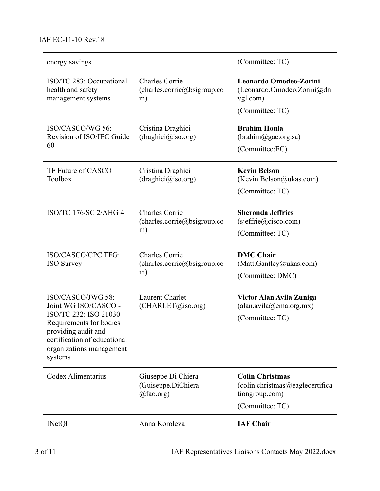| energy savings                                                                                                                                                                              |                                                            | (Committee: TC)                                                                                |  |
|---------------------------------------------------------------------------------------------------------------------------------------------------------------------------------------------|------------------------------------------------------------|------------------------------------------------------------------------------------------------|--|
| ISO/TC 283: Occupational<br>health and safety<br>management systems                                                                                                                         | <b>Charles Corrie</b><br>(charles.corrie@bsigroup.co<br>m) | Leonardo Omodeo-Zorini<br>(Leonardo.Omodeo.Zorini@dn<br>vgl.com)<br>(Committee: TC)            |  |
| ISO/CASCO/WG 56:<br>Revision of ISO/IEC Guide<br>60                                                                                                                                         | Cristina Draghici<br>(draghici@iso.org)                    | <b>Brahim Houla</b><br>(brahim@gac.org.sa)<br>(Committee:EC)                                   |  |
| TF Future of CASCO<br>Toolbox                                                                                                                                                               | Cristina Draghici<br>(draghici@iso.org)                    | <b>Kevin Belson</b><br>(Kevin.Belson@ukas.com)<br>(Committee: TC)                              |  |
| ISO/TC 176/SC 2/AHG 4                                                                                                                                                                       | <b>Charles Corrie</b><br>(charles.corrie@bsigroup.co<br>m) | <b>Sheronda Jeffries</b><br>(sjeffrie@cisco.com)<br>(Committee: TC)                            |  |
| ISO/CASCO/CPC TFG:<br><b>ISO Survey</b>                                                                                                                                                     | <b>Charles Corrie</b><br>(charles.corrie@bsigroup.co<br>m) | <b>DMC Chair</b><br>(Matt.Gantley@ukas.com)<br>(Committee: DMC)                                |  |
| ISO/CASCO/JWG 58:<br>Joint WG ISO/CASCO -<br>ISO/TC 232: ISO 21030<br>Requirements for bodies<br>providing audit and<br>certification of educational<br>organizations management<br>systems | Laurent Charlet<br>(CHAPTERLET@iso.org)                    | Victor Alan Avila Zuniga<br>(alan.avila@ema.org.mx)<br>(Committee: TC)                         |  |
| Codex Alimentarius                                                                                                                                                                          | Giuseppe Di Chiera<br>(Guiseppe.DiChiera<br>@fao.org)      | <b>Colin Christmas</b><br>(colin.christmas@eaglecertifica<br>tiongroup.com)<br>(Committee: TC) |  |
| <b>INetQI</b>                                                                                                                                                                               | Anna Koroleva                                              | <b>IAF Chair</b>                                                                               |  |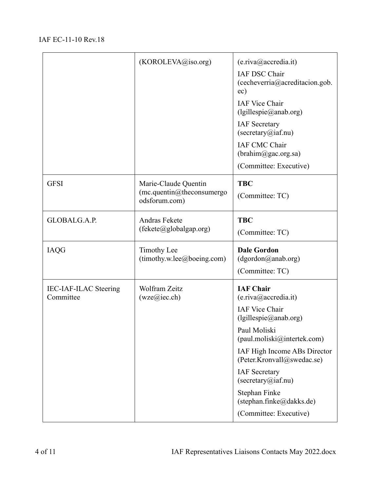|                                           | (KOROLEVA@iso.org)                                                        | (e.riva@accredia.it)<br>IAF DSC Chair<br>(cecheverria@acreditacion.gob.<br>ec)<br><b>IAF Vice Chair</b><br>(lgillespie@anab.org)<br><b>IAF</b> Secretary<br>$(\text{secretary}(\widehat{a})$ iaf.nu)                                                                                                                                                               |
|-------------------------------------------|---------------------------------------------------------------------------|--------------------------------------------------------------------------------------------------------------------------------------------------------------------------------------------------------------------------------------------------------------------------------------------------------------------------------------------------------------------|
|                                           |                                                                           | <b>IAF CMC Chair</b><br>(brahim@gac.org.sa)<br>(Committee: Executive)                                                                                                                                                                                                                                                                                              |
| <b>GFSI</b>                               | Marie-Claude Quentin<br>$(mc.$ quentin $@$ theconsumergo<br>odsforum.com) | <b>TBC</b><br>(Committee: TC)                                                                                                                                                                                                                                                                                                                                      |
| GLOBALG.A.P.                              | <b>Andras Fekete</b><br>(fekete@globalgap.org)                            | <b>TBC</b><br>(Committee: TC)                                                                                                                                                                                                                                                                                                                                      |
| <b>IAQG</b>                               | <b>Timothy Lee</b><br>(timothy.w. lee@boeing.com)                         | <b>Dale Gordon</b><br>$(d$ gordon $(a)$ anab.org)<br>(Committee: TC)                                                                                                                                                                                                                                                                                               |
| <b>IEC-IAF-ILAC Steering</b><br>Committee | <b>Wolfram Zeitz</b><br>(wze@iec.ch)                                      | <b>IAF Chair</b><br>$(e.\text{riva@accredia.it})$<br><b>IAF Vice Chair</b><br>(lgillespie@anab.org)<br>Paul Moliski<br>(paul.moliski@intertek.com)<br>IAF High Income ABs Director<br>(Peter.Kronvall@swedac.se)<br><b>IAF</b> Secretary<br>$(\text{secretary}(\widehat{a})$ iaf.nu)<br><b>Stephan Finke</b><br>(stephan.finke@dakks.de)<br>(Committee: Executive) |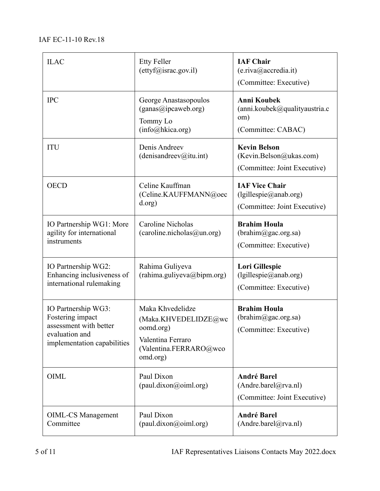| <b>ILAC</b>                                                                                                        | <b>IAF Chair</b><br><b>Etty Feller</b><br>$textphi(\hat{a})$ israc.gov.il)<br>(e.riva@accredia.it)<br>(Committee: Executive)                                      |                                                                                |
|--------------------------------------------------------------------------------------------------------------------|-------------------------------------------------------------------------------------------------------------------------------------------------------------------|--------------------------------------------------------------------------------|
| <b>IPC</b>                                                                                                         | <b>Anni Koubek</b><br>George Anastasopoulos<br>(ganas@ipcaweb.org)<br>(anni.koubek@qualityaustria.c)<br>om)<br>Tommy Lo<br>(info@hkica.org)<br>(Committee: CABAC) |                                                                                |
| <b>ITU</b>                                                                                                         | Denis Andreev<br>$(d$ enisandreev@itu.int)                                                                                                                        | <b>Kevin Belson</b><br>(Kevin.Belson@ukas.com)<br>(Committee: Joint Executive) |
| <b>OECD</b>                                                                                                        | Celine Kauffman<br>(Celine.KAUFFMANN@oec<br>$d.org$ )                                                                                                             | <b>IAF Vice Chair</b><br>(lgillespie@anab.org)<br>(Committee: Joint Executive) |
| IO Partnership WG1: More<br>agility for international<br>instruments                                               | <b>Caroline Nicholas</b><br>(caroline.nicholas@un.org)                                                                                                            | <b>Brahim Houla</b><br>(brahim@gac.org.sa)<br>(Committee: Executive)           |
| IO Partnership WG2:<br>Enhancing inclusiveness of<br>international rulemaking                                      | Rahima Guliyeva<br>(rahima.guliyeva@bipm.org)                                                                                                                     | Lori Gillespie<br>(lgillespie@anab.org)<br>(Committee: Executive)              |
| IO Partnership WG3:<br>Fostering impact<br>assessment with better<br>evaluation and<br>implementation capabilities | Maka Khvedelidze<br>(Maka.KHVEDELIDZE@wc<br>oomd.org)<br>Valentina Ferraro<br>(Valentina.FERRARO@wco<br>omd.org)                                                  | <b>Brahim Houla</b><br>(brahim@gac.org.sa)<br>(Committee: Executive)           |
| OIML                                                                                                               | Paul Dixon<br>(paul.dixon@oiml.org)                                                                                                                               | <b>André Barel</b><br>(Andre.barel@rva.nl)<br>(Committee: Joint Executive)     |
| <b>OIML-CS Management</b><br>Committee                                                                             | Paul Dixon<br>(paul.dixon@oiml.org)                                                                                                                               | <b>André Barel</b><br>(Andre.barel@rva.nl)                                     |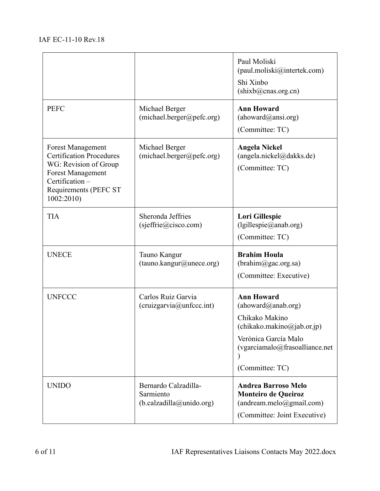|                                                                                                                                                                           |                                                                | Paul Moliski<br>(paul.moliski@intertek.com)<br>Shi Xinbo<br>(shixb@cnas.org.cn)                                                                                       |
|---------------------------------------------------------------------------------------------------------------------------------------------------------------------------|----------------------------------------------------------------|-----------------------------------------------------------------------------------------------------------------------------------------------------------------------|
| <b>PEFC</b>                                                                                                                                                               | Michael Berger<br>(michael.berger@pefc.org)                    | <b>Ann Howard</b><br>(ahoward@ansi.org)<br>(Committee: TC)                                                                                                            |
| <b>Forest Management</b><br><b>Certification Procedures</b><br>WG: Revision of Group<br><b>Forest Management</b><br>Certification-<br>Requirements (PEFC ST<br>1002:2010) | Michael Berger<br>(michael.berger@pefc.org)                    | <b>Angela Nickel</b><br>(angela.nickel@dakks.de)<br>(Committee: TC)                                                                                                   |
| <b>TIA</b>                                                                                                                                                                | Sheronda Jeffries<br>(sjeffrie@cisco.com)                      | Lori Gillespie<br>(lgillespie@anab.org)<br>(Committee: TC)                                                                                                            |
| <b>UNECE</b>                                                                                                                                                              | Tauno Kangur<br>(tauno.kangur@unece.org)                       | <b>Brahim Houla</b><br>(brahim@gac.org.sa)<br>(Committee: Executive)                                                                                                  |
| <b>UNFCCC</b>                                                                                                                                                             | Carlos Ruiz Garvia<br>(cruizgarvia@unfcc.int)                  | <b>Ann Howard</b><br>(aboutard@anab.org)<br>Chikako Makino<br>(chikako.makino@jab.or.jp)<br>Verónica García Malo<br>(vgarciamalo@frasoalliance.net<br>(Committee: TC) |
| <b>UNIDO</b>                                                                                                                                                              | Bernardo Calzadilla-<br>Sarmiento<br>(b. calzadilla@unido.org) | <b>Andrea Barroso Melo</b><br><b>Monteiro de Queiroz</b><br>$(and$ ream.melo $(a)$ gmail.com)<br>(Committee: Joint Executive)                                         |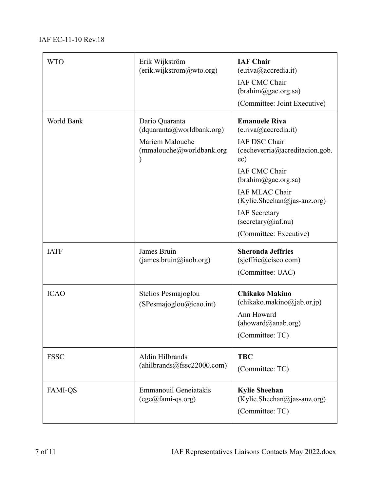| <b>WTO</b>     | Erik Wijkström<br>(crik.wijkstrom@wto.org)                                                  | <b>IAF Chair</b><br>$(e.\text{riva@accredia.it})$<br><b>IAF CMC Chair</b><br>(brahim@gac.org.sa)<br>(Committee: Joint Executive)                                                                                                                                                            |
|----------------|---------------------------------------------------------------------------------------------|---------------------------------------------------------------------------------------------------------------------------------------------------------------------------------------------------------------------------------------------------------------------------------------------|
| World Bank     | Dario Quaranta<br>(dquaranta@worldbank.org)<br>Mariem Malouche<br>(mmalouche@worldbank.org) | <b>Emanuele Riva</b><br>(exiva@accredia.it)<br><b>IAF DSC Chair</b><br>(cecheverria@acreditacion.gob.<br>ec)<br><b>IAF CMC Chair</b><br>(brahim@gac.org.sa)<br><b>IAF MLAC Chair</b><br>(Kylie.Sheehan@jas-anz.org)<br><b>IAF</b> Secretary<br>(secretary@iaf.nu)<br>(Committee: Executive) |
| <b>IATF</b>    | James Bruin<br>(james.bruin@iaob.org)                                                       | <b>Sheronda Jeffries</b><br>(sjeffrie@cisco.com)<br>(Committee: UAC)                                                                                                                                                                                                                        |
| <b>ICAO</b>    | Stelios Pesmajoglou<br>(SPesmajoglou@jcao.int)                                              | <b>Chikako Makino</b><br>(chikako.makino@jab.or.jp)<br>Ann Howard<br>(aboutard@anab.org)<br>(Committee: TC)                                                                                                                                                                                 |
| <b>FSSC</b>    | Aldin Hilbrands<br>(ahilbrands@fssc22000.com)                                               | <b>TBC</b><br>(Committee: TC)                                                                                                                                                                                                                                                               |
| <b>FAMI-QS</b> | Emmanouil Geneiatakis<br>$($ ege $($ afami-qs.org)                                          | <b>Kylie Sheehan</b><br>(Kylie.Sheehan@jas-anz.org)<br>(Committee: TC)                                                                                                                                                                                                                      |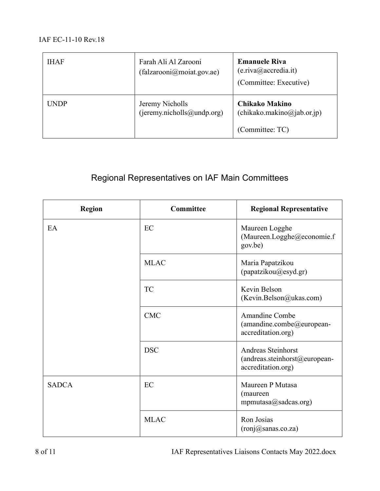| <b>IHAF</b> | Farah Ali Al Zarooni<br>(falzarooni@moiat.gov.ae) | <b>Emanuele Riva</b><br>$(e.\text{riva@accredia.it})$<br>(Committee: Executive) |
|-------------|---------------------------------------------------|---------------------------------------------------------------------------------|
| <b>UNDP</b> | Jeremy Nicholls<br>(ieremy.nicholls@undp.org)     | Chikako Makino<br>(chikako.makino@jab. or.jp)<br>(Committee: TC)                |

# Regional Representatives on IAF Main Committees

| <b>Region</b> | Committee   | <b>Regional Representative</b>                                                      |
|---------------|-------------|-------------------------------------------------------------------------------------|
| EA            | EC          | Maureen Logghe<br>(Maureen.Logghe@economie.f<br>gov.be)                             |
|               | <b>MLAC</b> | Maria Papatzikou<br>(papatzikou@esyd.gr)                                            |
|               | <b>TC</b>   | Kevin Belson<br>(Kevin.Belson@ukas.com)                                             |
|               | <b>CMC</b>  | <b>Amandine Combe</b><br>(amandine.combe@european-<br>accreditation.org)            |
|               | <b>DSC</b>  | <b>Andreas Steinhorst</b><br>$(and reas.steinhorst@european-$<br>accreditation.org) |
| <b>SADCA</b>  | EC          | Maureen P Mutasa<br>(maureen<br>mpmutasa@sadcas.org)                                |
|               | <b>MLAC</b> | Ron Josias<br>(ronj@sanas.co.za)                                                    |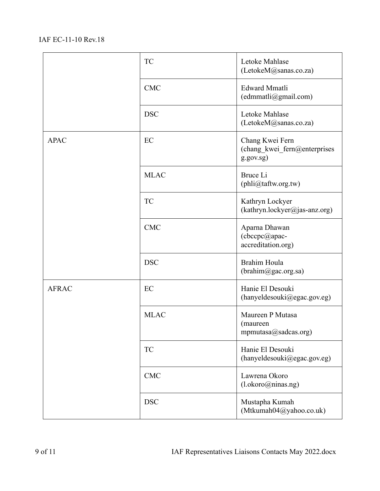|              | <b>TC</b>   | Letoke Mahlase<br>(LetokeM@sanas.co.za)                      |
|--------------|-------------|--------------------------------------------------------------|
|              | <b>CMC</b>  | <b>Edward Mmatli</b><br>(edmmatli@gmail.com)                 |
|              | <b>DSC</b>  | Letoke Mahlase<br>(LetokeM@sanas.co.za)                      |
| <b>APAC</b>  | EC          | Chang Kwei Fern<br>(chang kwei fern@enterprises<br>g.gov.sg) |
|              | <b>MLAC</b> | Bruce Li<br>(phli@taftw.org.tw)                              |
|              | <b>TC</b>   | Kathryn Lockyer<br>(kathryn.lockyer@jas-anz.org)             |
|              | <b>CMC</b>  | Aparna Dhawan<br>(cbccpc@apac-<br>accreditation.org)         |
|              | <b>DSC</b>  | <b>Brahim Houla</b><br>(brahim@gac.org.sa)                   |
| <b>AFRAC</b> | EC          | Hanie El Desouki<br>(hanyeldesouki@egac.gov.eg)              |
|              | <b>MLAC</b> | Maureen P Mutasa<br>(maureen<br>mpmutasa@sadcas.org)         |
|              | TC          | Hanie El Desouki<br>(hanyeldesouki@egac.gov.eg)              |
|              | <b>CMC</b>  | Lawrena Okoro<br>(l.okoro@ninas.ng)                          |
|              | <b>DSC</b>  | Mustapha Kumah<br>(Mtkumah04@yahoo.co.uk)                    |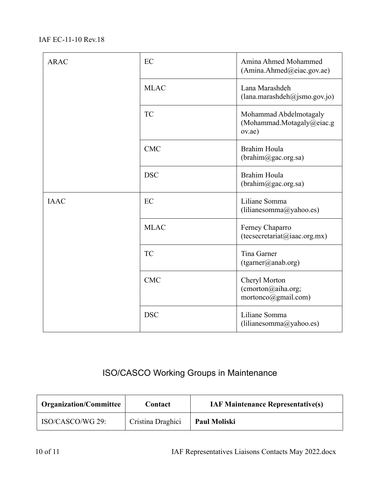| <b>ARAC</b> | EC          | Amina Ahmed Mohammed<br>(Amina.Ahmed@eiac.gov.ae)             |
|-------------|-------------|---------------------------------------------------------------|
|             | <b>MLAC</b> | Lana Marashdeh<br>(lana.marashdeh@jsmo.gov.jo)                |
|             | <b>TC</b>   | Mohammad Abdelmotagaly<br>(Mohammad.Motagaly@eiac.g<br>ov.ae) |
|             | <b>CMC</b>  | <b>Brahim Houla</b><br>(brahim@gac.org.sa)                    |
|             | <b>DSC</b>  | <b>Brahim Houla</b><br>(brahim@gac.org.sa)                    |
| <b>IAAC</b> | EC          | Liliane Somma<br>(lilianesomma@yahoo.es)                      |
|             | <b>MLAC</b> | Ferney Chaparro<br>(tecsecretariat@iaac.org.mx)               |
|             | <b>TC</b>   | Tina Garner<br>$(tgarner(\hat{\omega})$ anab.org)             |
|             | <b>CMC</b>  | Cheryl Morton<br>(cmorton@aiha.org;<br>mortonco@gmail.com)    |
|             | <b>DSC</b>  | Liliane Somma<br>(lilianesomma@yahoo.es)                      |

## ISO/CASCO Working Groups in Maintenance

| <b>Organization/Committee</b> | Contact           | <b>IAF Maintenance Representative(s)</b> |
|-------------------------------|-------------------|------------------------------------------|
| ISO/CASCO/WG 29:              | Cristina Draghici | <b>Paul Moliski</b>                      |